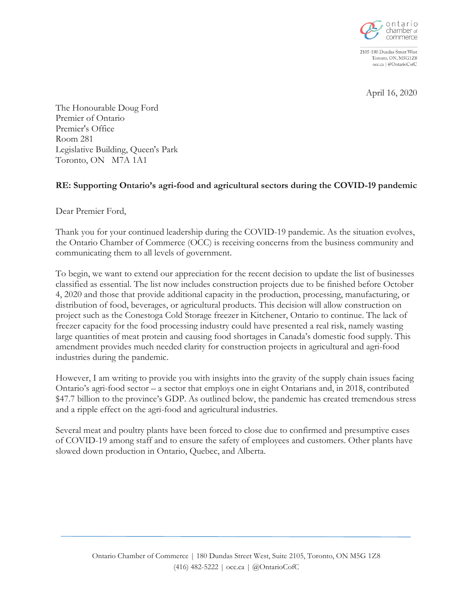

2105-180 Dundas Street West Toronto, ON, M5G1Z8 occ.ca | @OntarioCofC

April 16, 2020

The Honourable Doug Ford Premier of Ontario Premier's Office Room 281 Legislative Building, Queen's Park Toronto, ON M7A 1A1

## **RE: Supporting Ontario's agri-food and agricultural sectors during the COVID-19 pandemic**

Dear Premier Ford,

Thank you for your continued leadership during the COVID-19 pandemic. As the situation evolves, the Ontario Chamber of Commerce (OCC) is receiving concerns from the business community and communicating them to all levels of government.

To begin, we want to extend our appreciation for the recent decision to update the list of businesses classified as essential. The list now includes construction projects due to be finished before October 4, 2020 and those that provide additional capacity in the production, processing, manufacturing, or distribution of food, beverages, or agricultural products. This decision will allow construction on project such as the Conestoga Cold Storage freezer in Kitchener, Ontario to continue. The lack of freezer capacity for the food processing industry could have presented a real risk, namely wasting large quantities of meat protein and causing food shortages in Canada's domestic food supply. This amendment provides much needed clarity for construction projects in agricultural and agri-food industries during the pandemic.

However, I am writing to provide you with insights into the gravity of the supply chain issues facing Ontario's agri-food sector – a sector that employs one in eight Ontarians and, in 2018, contributed \$47.7 billion to the province's GDP. As outlined below, the pandemic has created tremendous stress and a ripple effect on the agri-food and agricultural industries.

Several meat and poultry plants have been forced to close due to confirmed and presumptive cases of COVID-19 among staff and to ensure the safety of employees and customers. Other plants have slowed down production in Ontario, Quebec, and Alberta.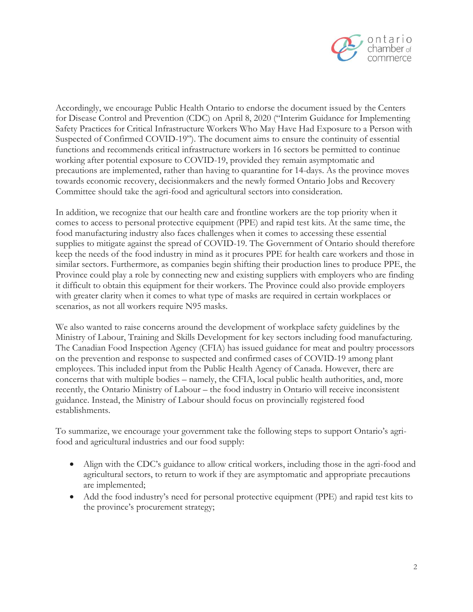

Accordingly, we encourage Public Health Ontario to endorse the document issued by the Centers for Disease Control and Prevention (CDC) on April 8, 2020 ("Interim Guidance for Implementing Safety Practices for Critical Infrastructure Workers Who May Have Had Exposure to a Person with Suspected of Confirmed COVID-19"). The document aims to ensure the continuity of essential functions and recommends critical infrastructure workers in 16 sectors be permitted to continue working after potential exposure to COVID-19, provided they remain asymptomatic and precautions are implemented, rather than having to quarantine for 14-days. As the province moves towards economic recovery, decisionmakers and the newly formed Ontario Jobs and Recovery Committee should take the agri-food and agricultural sectors into consideration.

In addition, we recognize that our health care and frontline workers are the top priority when it comes to access to personal protective equipment (PPE) and rapid test kits. At the same time, the food manufacturing industry also faces challenges when it comes to accessing these essential supplies to mitigate against the spread of COVID-19. The Government of Ontario should therefore keep the needs of the food industry in mind as it procures PPE for health care workers and those in similar sectors. Furthermore, as companies begin shifting their production lines to produce PPE, the Province could play a role by connecting new and existing suppliers with employers who are finding it difficult to obtain this equipment for their workers. The Province could also provide employers with greater clarity when it comes to what type of masks are required in certain workplaces or scenarios, as not all workers require N95 masks.

We also wanted to raise concerns around the development of workplace safety guidelines by the Ministry of Labour, Training and Skills Development for key sectors including food manufacturing. The Canadian Food Inspection Agency (CFIA) has issued guidance for meat and poultry processors on the prevention and response to suspected and confirmed cases of COVID-19 among plant employees. This included input from the Public Health Agency of Canada. However, there are concerns that with multiple bodies – namely, the CFIA, local public health authorities, and, more recently, the Ontario Ministry of Labour – the food industry in Ontario will receive inconsistent guidance. Instead, the Ministry of Labour should focus on provincially registered food establishments.

To summarize, we encourage your government take the following steps to support Ontario's agrifood and agricultural industries and our food supply:

- Align with the CDC's guidance to allow critical workers, including those in the agri-food and agricultural sectors, to return to work if they are asymptomatic and appropriate precautions are implemented;
- Add the food industry's need for personal protective equipment (PPE) and rapid test kits to the province's procurement strategy;